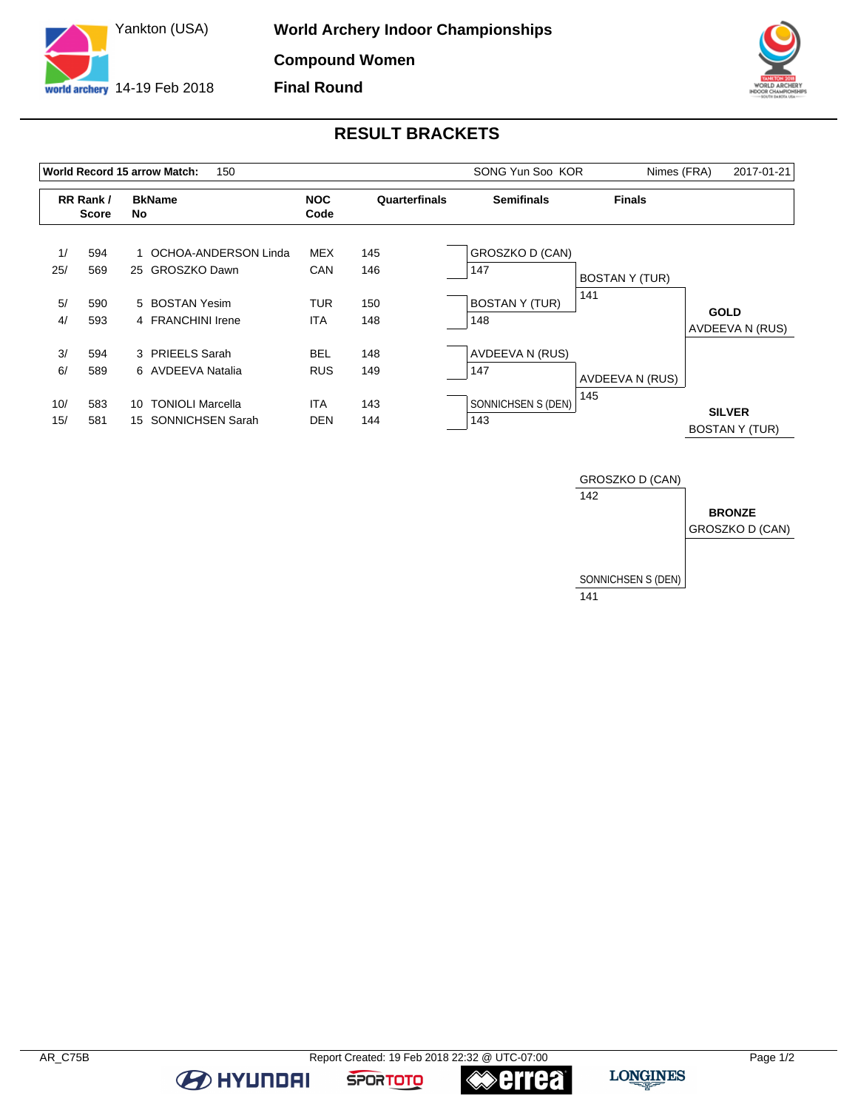



## **RESULT BRACKETS**

|            |                           | 150<br><b>World Record 15 arrow Match:</b>                     |                          | SONG Yun Soo KOR | Nimes (FRA)                  | 2017-01-21            |                                        |
|------------|---------------------------|----------------------------------------------------------------|--------------------------|------------------|------------------------------|-----------------------|----------------------------------------|
|            | RR Rank /<br><b>Score</b> | <b>BkName</b><br>No                                            | <b>NOC</b><br>Code       | Quarterfinals    | <b>Semifinals</b>            | <b>Finals</b>         |                                        |
| 1/<br>25/  | 594<br>569                | OCHOA-ANDERSON Linda<br>25 GROSZKO Dawn                        | <b>MEX</b><br>CAN        | 145<br>146       | GROSZKO D (CAN)<br>147       | <b>BOSTAN Y (TUR)</b> |                                        |
| 5/<br>4/   | 590<br>593                | 5 BOSTAN Yesim<br>4 FRANCHINI Irene                            | <b>TUR</b><br><b>ITA</b> | 150<br>148       | <b>BOSTAN Y (TUR)</b><br>148 | 141                   | <b>GOLD</b><br>AVDEEVA N (RUS)         |
| 3/<br>6/   | 594<br>589                | 3 PRIEELS Sarah<br>6 AVDEEVA Natalia                           | <b>BEL</b><br><b>RUS</b> | 148<br>149       | AVDEEVA N (RUS)<br>147       | AVDEEVA N (RUS)       |                                        |
| 10/<br>15/ | 583<br>581                | <b>TONIOLI Marcella</b><br>10<br><b>SONNICHSEN Sarah</b><br>15 | <b>ITA</b><br><b>DEN</b> | 143<br>144       | SONNICHSEN S (DEN)<br>143    | 145                   | <b>SILVER</b><br><b>BOSTAN Y (TUR)</b> |



**BE AT A HYLINDAI** 

**≪errea** 

**SPORTOTO**